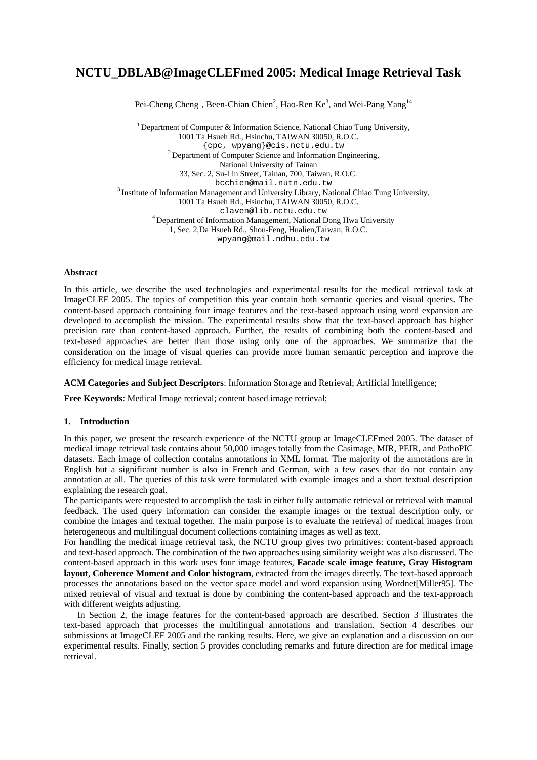# **NCTU\_DBLAB@ImageCLEFmed 2005: Medical Image Retrieval Task**

Pei-Cheng Cheng<sup>1</sup>, Been-Chian Chien<sup>2</sup>, Hao-Ren Ke<sup>3</sup>, and Wei-Pang Yang<sup>14</sup>

<sup>1</sup> Department of Computer & Information Science, National Chiao Tung University, 1001 Ta Hsueh Rd., Hsinchu, TAIWAN 30050, R.O.C.<br>{cpc, wpyang}@cis.nctu.edu.tw  $^{2}$  Department of Computer Science and Information Engineering, National University of Tainan 33, Sec. 2, Su-Lin Street, Tainan, 700, Taiwan, R.O.C.  $3$  Institute of Information Management and University Library, National Chiao Tung University, 1001 Ta Hsueh Rd., Hsinchu, TAIWAN 30050, R.O.C. claven@lib.nctu.edu.tw 4 Department of Information Management, National Dong Hwa University 1, Sec. 2,Da Hsueh Rd., Shou-Feng, Hualien,Taiwan, R.O.C. wpyang@mail.ndhu.edu.tw

## **Abstract**

In this article, we describe the used technologies and experimental results for the medical retrieval task at ImageCLEF 2005. The topics of competition this year contain both semantic queries and visual queries. The content-based approach containing four image features and the text-based approach using word expansion are developed to accomplish the mission. The experimental results show that the text-based approach has higher precision rate than content-based approach. Further, the results of combining both the content-based and text-based approaches are better than those using only one of the approaches. We summarize that the consideration on the image of visual queries can provide more human semantic perception and improve the efficiency for medical image retrieval.

# **ACM Categories and Subject Descriptors**: Information Storage and Retrieval; Artificial Intelligence;

**Free Keywords**: Medical Image retrieval; content based image retrieval;

## **1. Introduction**

In this paper, we present the research experience of the NCTU group at ImageCLEFmed 2005. The dataset of medical image retrieval task contains about 50,000 images totally from the Casimage, MIR, PEIR, and PathoPIC datasets. Each image of collection contains annotations in XML format. The majority of the annotations are in English but a significant number is also in French and German, with a few cases that do not contain any annotation at all. The queries of this task were formulated with example images and a short textual description explaining the research goal.

The participants were requested to accomplish the task in either fully automatic retrieval or retrieval with manual feedback. The used query information can consider the example images or the textual description only, or combine the images and textual together. The main purpose is to evaluate the retrieval of medical images from heterogeneous and multilingual document collections containing images as well as text.

For handling the medical image retrieval task, the NCTU group gives two primitives: content-based approach and text-based approach. The combination of the two approaches using similarity weight was also discussed. The content-based approach in this work uses four image features, **Facade scale image feature, Gray Histogram layout**, **Coherence Moment and Color histogram**, extracted from the images directly. The text-based approach processes the annotations based on the vector space model and word expansion using Wordnet[Miller95]. The mixed retrieval of visual and textual is done by combining the content-based approach and the text-approach with different weights adjusting.

 In Section 2, the image features for the content-based approach are described. Section 3 illustrates the text-based approach that processes the multilingual annotations and translation. Section 4 describes our submissions at ImageCLEF 2005 and the ranking results. Here, we give an explanation and a discussion on our experimental results. Finally, section 5 provides concluding remarks and future direction are for medical image retrieval.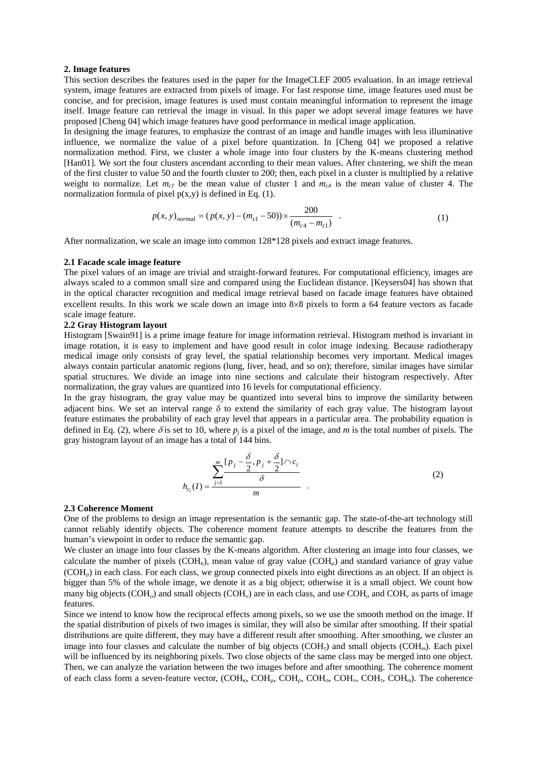#### **2. Image features**

This section describes the features used in the paper for the ImageCLEF 2005 evaluation. In an image retrieval system, image features are extracted from pixels of image. For fast response time, image features used must be concise, and for precision, image features is used must contain meaningful information to represent the image itself. Image feature can retrieval the image in visual. In this paper we adopt several image features we have proposed [Cheng 04] which image features have good performance in medical image application.

In designing the image features, to emphasize the contrast of an image and handle images with less illuminative influence, we normalize the value of a pixel before quantization. In [Cheng 04] we proposed a relative normalization method. First, we cluster a whole image into four clusters by the K-means clustering method [Han01]. We sort the four clusters ascendant according to their mean values. After clustering, we shift the mean of the first cluster to value 50 and the fourth cluster to 200; then, each pixel in a cluster is multiplied by a relative weight to normalize. Let  $m_{c1}$  be the mean value of cluster 1 and  $m_{c4}$  is the mean value of cluster 4. The normalization formula of pixel  $p(x,y)$  is defined in Eq. (1).

$$
p(x, y)_{normal} = (p(x, y) - (m_{c1} - 50)) \times \frac{200}{(m_{c4} - m_{c1})}
$$
 (1)

After normalization, we scale an image into common 128\*128 pixels and extract image features.

#### **2.1 Facade scale image feature**

The pixel values of an image are trivial and straight-forward features. For computational efficiency, images are always scaled to a common small size and compared using the Euclidean distance. [Keysers04] has shown that in the optical character recognition and medical image retrieval based on facade image features have obtained excellent results. In this work we scale down an image into 8×8 pixels to form a 64 feature vectors as facade scale image feature.

# **2.2 Gray Histogram layout**

Histogram [Swain91] is a prime image feature for image information retrieval. Histogram method is invariant in image rotation, it is easy to implement and have good result in color image indexing. Because radiotherapy medical image only consists of gray level, the spatial relationship becomes very important. Medical images always contain particular anatomic regions (lung, liver, head, and so on); therefore, similar images have similar spatial structures. We divide an image into nine sections and calculate their histogram respectively. After normalization, the gray values are quantized into 16 levels for computational efficiency.

In the gray histogram, the gray value may be quantized into several bins to improve the similarity between adjacent bins. We set an interval range δ to extend the similarity of each gray value. The histogram layout feature estimates the probability of each gray level that appears in a particular area. The probability equation is defined in Eq. (2), where  $\delta$  is set to 10, where  $p_i$  is a pixel of the image, and *m* is the total number of pixels. The gray histogram layout of an image has a total of 144 bins.

$$
h_{c_i}(I) = \frac{\sum_{j=1}^{m} \frac{[p_j - \frac{\delta}{2}, p_j + \frac{\delta}{2}] \cap c_i}{\delta}}{m} \tag{2}
$$

#### **2.3 Coherence Moment**

One of the problems to design an image representation is the semantic gap. The state-of-the-art technology still cannot reliably identify objects. The coherence moment feature attempts to describe the features from the human's viewpoint in order to reduce the semantic gap.

We cluster an image into four classes by the K-means algorithm. After clustering an image into four classes, we calculate the number of pixels  $(COH<sub>k</sub>)$ , mean value of gray value  $(COH<sub>u</sub>)$  and standard variance of gray value (COHρ) in each class. For each class, we group connected pixels into eight directions as an object. If an object is bigger than 5% of the whole image, we denote it as a big object; otherwise it is a small object. We count how many big objects (COH<sub>0</sub>) and small objects (COH<sub>0</sub>) are in each class, and use COH<sub>0</sub> and COH<sub>0</sub> as parts of image features.

Since we intend to know how the reciprocal effects among pixels, so we use the smooth method on the image. If the spatial distribution of pixels of two images is similar, they will also be similar after smoothing. If their spatial distributions are quite different, they may have a different result after smoothing. After smoothing, we cluster an image into four classes and calculate the number of big objects  $(COH<sub>r</sub>)$  and small objects  $(COH<sub>m</sub>)$ . Each pixel will be influenced by its neighboring pixels. Two close objects of the same class may be merged into one object. Then, we can analyze the variation between the two images before and after smoothing. The coherence moment of each class form a seven-feature vector,  $(COH_{\kappa}, COH_{\mu}, COH_{\nu}, COH_{\nu}, COH_{\nu}, COH_{\nu}$ ,  $COH_{\kappa}$ ,  $COH_{\kappa}$ ). The coherence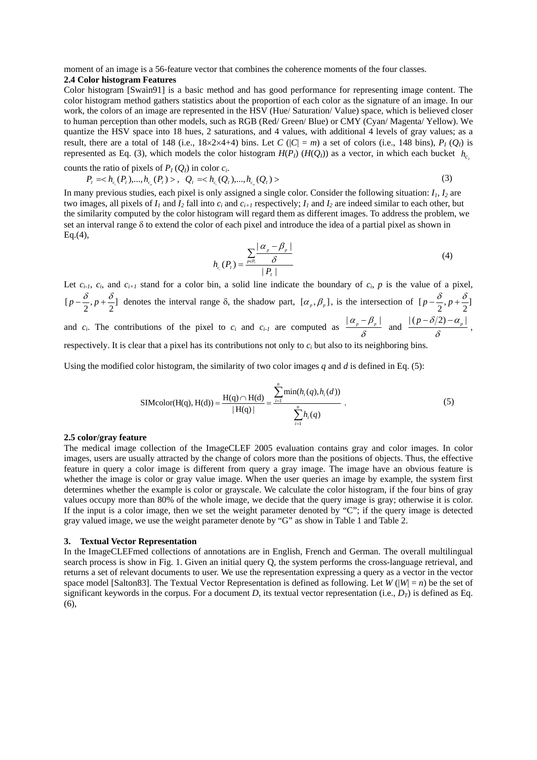moment of an image is a 56-feature vector that combines the coherence moments of the four classes. **2.4 Color histogram Features** 

Color histogram [Swain91] is a basic method and has good performance for representing image content. The color histogram method gathers statistics about the proportion of each color as the signature of an image. In our work, the colors of an image are represented in the HSV (Hue/ Saturation/ Value) space, which is believed closer to human perception than other models, such as RGB (Red/ Green/ Blue) or CMY (Cyan/ Magenta/ Yellow). We quantize the HSV space into 18 hues, 2 saturations, and 4 values, with additional 4 levels of gray values; as a result, there are a total of 148 (i.e.,  $18 \times 2 \times 4+4$ ) bins. Let *C* ( $|C| = m$ ) a set of colors (i.e., 148 bins),  $P_I(Q_I)$  is represented as Eq. [\(3\)](#page-2-0), which models the color histogram  $H(P_I)$  ( $H(Q_I)$ ) as a vector, in which each bucket  $h_{c_i}$ 

counts the ratio of pixels of  $P_I(Q_I)$  in color  $c_i$ .

$$
P_{I} = , \quad Q_{I} =
$$
\n(3)

<span id="page-2-0"></span>In many previous studies, each pixel is only assigned a single color. Consider the following situation:  $I_1$ ,  $I_2$  are two images, all pixels of  $I_1$  and  $I_2$  fall into  $c_i$  and  $c_{i+1}$  respectively;  $I_1$  and  $I_2$  are indeed similar to each other, but the similarity computed by the color histogram will regard them as different images. To address the problem, we set an interval range δ to extend the color of each pixel and introduce the idea of a partial pixel as shown in  $Eq.(4)$ ,

$$
h_{c_i}(P_i) = \frac{\sum_{p \in P_i} \frac{|\alpha_p - \beta_p|}{\delta}}{|\,P_i\,|} \tag{4}
$$

Let  $c_{i-1}$ ,  $c_i$ , and  $c_{i+1}$  stand for a color bin, a solid line indicate the boundary of  $c_i$ ,  $p$  is the value of a pixel,  $[p-\frac{\delta}{2}, p+\frac{\delta}{2}]$  denotes the interval range  $\delta$ , the shadow part,  $[\alpha_p, \beta_p]$ , is the intersection of  $[p-\frac{\delta}{2}, p+\frac{\delta}{2}]$ and *c<sub>i</sub>*. The contributions of the pixel to *c<sub>i</sub>* and *c<sub>i-1</sub>* are computed as  $\frac{|a_p - \beta_p|}{\delta}$  and  $\frac{|(p - \delta/2) - a_p|}{\delta}$ , respectively. It is clear that a pixel has its contributions not only to  $c_i$  but also to its neighboring bins.

Using the modified color histogram, the similarity of two color images *q* and *d* is defined in Eq. (5):

SIMcolor(H(q), H(d)) = 
$$
\frac{H(q) \cap H(d)}{|H(q)|} = \frac{\sum_{i=1}^{n} \min(h_i(q), h_i(d))}{\sum_{i=1}^{n} h_i(q)}
$$
 (5)

#### **2.5 color/gray feature**

The medical image collection of the ImageCLEF 2005 evaluation contains gray and color images. In color images, users are usually attracted by the change of colors more than the positions of objects. Thus, the effective feature in query a color image is different from query a gray image. The image have an obvious feature is whether the image is color or gray value image. When the user queries an image by example, the system first determines whether the example is color or grayscale. We calculate the color histogram, if the four bins of gray values occupy more than 80% of the whole image, we decide that the query image is gray; otherwise it is color. If the input is a color image, then we set the weight parameter denoted by "C"; if the query image is detected gray valued image, we use the weight parameter denote by "G" as show in Table 1 and Table 2.

#### **3. Textual Vector Representation**

In the ImageCLEFmed collections of annotations are in English, French and German. The overall multilingual search process is show in Fig. 1. Given an initial query Q, the system performs the cross-language retrieval, and returns a set of relevant documents to user. We use the representation expressing a query as a vector in the vector space model [Salton83]. The Textual Vector Representation is defined as following. Let  $W(|W| = n)$  be the set of significant keywords in the corpus. For a document *D*, its textual vector representation (i.e.,  $D_T$ ) is defined as Eq. (6),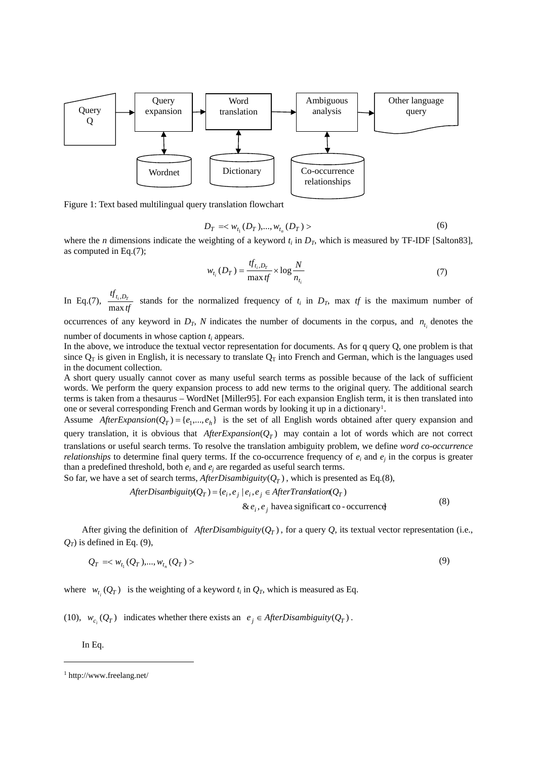

Figure 1: Text based multilingual query translation flowchart

$$
D_T = \langle w_{t_1}(D_T), ..., w_{t_n}(D_T) \rangle \tag{6}
$$

where the *n* dimensions indicate the weighting of a keyword  $t_i$  in  $D_T$ , which is measured by TF-IDF [Salton83], as computed in Eq.(7);

$$
w_{t_i}(D_T) = \frac{tf_{t_i, D_T}}{\max tf} \times \log \frac{N}{n_{t_i}}
$$
\n<sup>(7)</sup>

In Eq.(7),  $\frac{f_i, D_T}{\max t}$  $tf_{t_i,D_T}$  $\frac{\partial f_i}{\partial r}$  stands for the normalized frequency of  $t_i$  in  $D_T$ , max *tf* is the maximum number of max *tf* 

occurrences of any keyword in  $D_T$ , *N* indicates the number of documents in the corpus, and  $n_{t_i}$  denotes the number of documents in whose caption *t <sup>i</sup>* appears.

In the above, we introduce the textual vector representation for documents. As for q query Q, one problem is that since  $Q_T$  is given in English, it is necessary to translate  $Q_T$  into French and German, which is the languages used in the document collection.

A short query usually cannot cover as many useful search terms as possible because of the lack of sufficient words. We perform the query expansion process to add new terms to the original query. The additional search terms is taken from a thesaurus – WordNet [Miller95]. For each expansion English term, it is then translated into one or several corresponding French and German words by looking it up in a dictionary<sup>1</sup>.

Assume AfterExpansion( $Q_T$ ) = { $e_1$ ,..., $e_h$ } is the set of all English words obtained after query expansion and query translation, it is obvious that  $After Expansion(Q_T)$  may contain a lot of words which are not correct translations or useful search terms. To resolve the translation ambiguity problem, we define *word co-occurrence relationships* to determine final query terms. If the co-occurrence frequency of  $e_i$  and  $e_j$  in the corpus is greater than a predefined threshold, both  $e_i$  and  $e_j$  are regarded as useful search terms.

So far, we have a set of search terms, *AfterDisambiguity*  $(Q_T)$ , which is presented as Eq.(8),

AfterDisambiguity(
$$
Q_T
$$
) = { $e_i$ ,  $e_j$  |  $e_i$ ,  $e_j$  ∈ AfterTranslation( $Q_T$ )  
& $e_i$ ,  $e_j$  have a significant co-occurrence  
(8)

After giving the definition of AfterDisambiguity( $Q_T$ ), for a query  $Q$ , its textual vector representation (i.e.,  $Q_T$ ) is defined in Eq. [\(9\)](#page-3-1),

$$
Q_T = \langle w_{t_1}(Q_T), ..., w_{t_n}(Q_T) \rangle
$$
\n(9)

<span id="page-3-1"></span>where $w_{t_i}(Q_T)$  is the weighting of a keyword  $t_i$  in  $Q_T$ , which is measured as Eq.

[\(10\),](#page-4-0)  $w_{c}$ ,  $(Q_T)$  indicates whether there exists an  $e_i \in AfterDisambiguity$   $(Q_T)$ .

In Eq.

1

<span id="page-3-0"></span><sup>1</sup> http://www.freelang.net/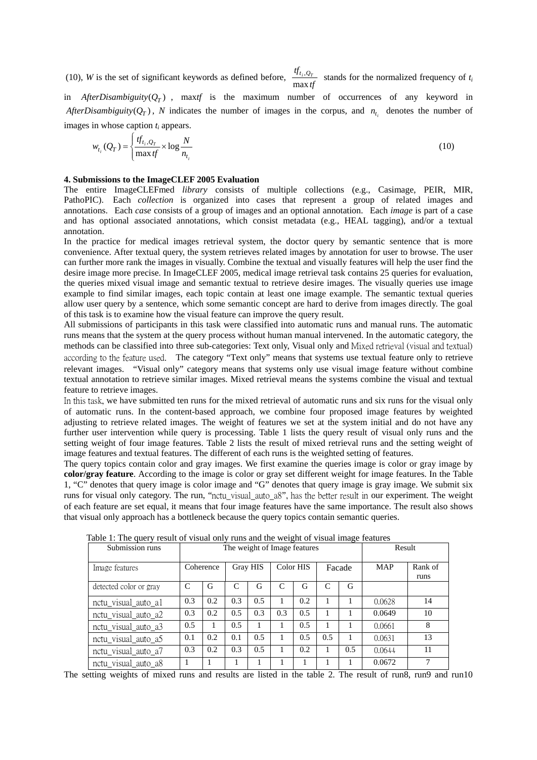(10), *W* is the set of significant keywords as defined before,  $\frac{tf_{t_i, Q_T}}{\max t}$  $\frac{\partial f_{i_1}, Q_T}{\partial x}$  stands for the normalized frequency of  $t_i$ in *AfterDisambiguity*  $(Q_T)$ , max*tf* is the maximum number of occurrences of any keyword in  $AfterDisambiguity(Q_T)$ , N indicates the number of images in the corpus, and  $n_{t_i}$  denotes the number of

<span id="page-4-0"></span>images in whose caption *t <sup>i</sup>* appears.

$$
w_{t_i}(Q_T) = \begin{cases} \frac{tf_{t_i,Q_T}}{\max f} \times \log \frac{N}{n_{t_i}} \end{cases}
$$
 (10)

## **4. Submissions to the ImageCLEF 2005 Evaluation**

The entire ImageCLEFmed *library* consists of multiple collections (e.g., Casimage, PEIR, MIR, PathoPIC). Each *collection* is organized into cases that represent a group of related images and annotations. Each *case* consists of a group of images and an optional annotation. Each *image* is part of a case and has optional associated annotations, which consist metadata (e.g., HEAL tagging), and/or a textual annotation.

In the practice for medical images retrieval system, the doctor query by semantic sentence that is more convenience. After textual query, the system retrieves related images by annotation for user to browse. The user can further more rank the images in visually. Combine the textual and visually features will help the user find the desire image more precise. In ImageCLEF 2005, medical image retrieval task contains 25 queries for evaluation, the queries mixed visual image and semantic textual to retrieve desire images. The visually queries use image example to find similar images, each topic contain at least one image example. The semantic textual queries allow user query by a sentence, which some semantic concept are hard to derive from images directly. The goal of this task is to examine how the visual feature can improve the query result.

All submissions of participants in this task were classified into automatic runs and manual runs. The automatic runs means that the system at the query process without human manual intervened. In the automatic category, the methods can be classified into three sub-categories: Text only, Visual only and Mixed retrieval (visual and textual) according to the feature used. The category "Text only" means that systems use textual feature only to retrieve relevant images. "Visual only" category means that systems only use visual image feature without combine textual annotation to retrieve similar images. Mixed retrieval means the systems combine the visual and textual feature to retrieve images.

In this task, we have submitted ten runs for the mixed retrieval of automatic runs and six runs for the visual only of automatic runs. In the content-based approach, we combine four proposed image features by weighted adjusting to retrieve related images. The weight of features we set at the system initial and do not have any further user intervention while query is processing. Table 1 lists the query result of visual only runs and the setting weight of four image features. Table 2 lists the result of mixed retrieval runs and the setting weight of image features and textual features. The different of each runs is the weighted setting of features.

The query topics contain color and gray images. We first examine the queries image is color or gray image by **color/gray feature**. According to the image is color or gray set different weight for image features. In the Table 1, "C" denotes that query image is color image and "G" denotes that query image is gray image. We submit six runs for visual only category. The run, "nctu\_visual\_auto\_a8", has the better result in our experiment. The weight of each feature are set equal, it means that four image features have the same importance. The result also shows that visual only approach has a bottleneck because the query topics contain semantic queries.

| Submission runs        |           |     | The weight of Image features | Result |           |     |        |     |            |                 |
|------------------------|-----------|-----|------------------------------|--------|-----------|-----|--------|-----|------------|-----------------|
| Image features         | Coherence |     | Gray HIS                     |        | Color HIS |     | Facade |     | <b>MAP</b> | Rank of<br>runs |
| detected color or gray | C         | G   | C                            | G      | C         | G   | C      | G   |            |                 |
| nctu_visual_auto_a1    | 0.3       | 0.2 | 0.3                          | 0.5    |           | 0.2 |        |     | 0.0628     | 14              |
| nctu_visual_auto_a2    | 0.3       | 0.2 | 0.5                          | 0.3    | 0.3       | 0.5 |        |     | 0.0649     | 10              |
| nctu_visual_auto_a3    | 0.5       |     | 0.5                          |        |           | 0.5 |        |     | 0.0661     | 8               |
| nctu_visual_auto_a5    | 0.1       | 0.2 | 0.1                          | 0.5    |           | 0.5 | 0.5    |     | 0.0631     | 13              |
| nctu_visual_auto_a7    | 0.3       | 0.2 | 0.3                          | 0.5    |           | 0.2 |        | 0.5 | 0.0644     | 11              |
| nctu_visual_auto_a8    | 1         |     |                              |        |           |     |        |     | 0.0672     | 7               |

Table 1: The query result of visual only runs and the weight of visual image features

The setting weights of mixed runs and results are listed in the table 2. The result of run8, run9 and run10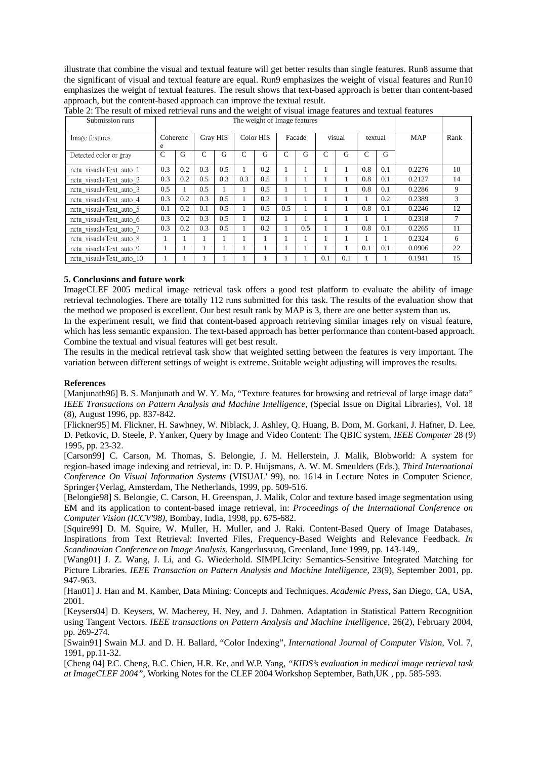illustrate that combine the visual and textual feature will get better results than single features. Run8 assume that the significant of visual and textual feature are equal. Run9 emphasizes the weight of visual features and Run10 emphasizes the weight of textual features. The result shows that text-based approach is better than content-based approach, but the content-based approach can improve the textual result.

| Submission runs          | The weight of Image features |     |          |     |           |     |        |     |        |     |         |     |            |        |
|--------------------------|------------------------------|-----|----------|-----|-----------|-----|--------|-----|--------|-----|---------|-----|------------|--------|
| Image features           | Coherenc<br>e                |     | Gray HIS |     | Color HIS |     | Facade |     | visual |     | textual |     | <b>MAP</b> | Rank   |
| Detected color or gray   | $\mathsf{C}$                 | G   | C        | G   | C         | G   | C      | G   | C      | G   | C       | G   |            |        |
| nctu visual+Text auto 1  | 0.3                          | 0.2 | 0.3      | 0.5 |           | 0.2 |        |     |        |     | 0.8     | 0.1 | 0.2276     | 10     |
| nctu visual+Text auto 2  | 0.3                          | 0.2 | 0.5      | 0.3 | 0.3       | 0.5 |        |     |        |     | 0.8     | 0.1 | 0.2127     | 14     |
| nctu visual+Text auto 3  | 0.5                          | л.  | 0.5      |     |           | 0.5 |        |     |        |     | 0.8     | 0.1 | 0.2286     | 9      |
| nctu visual+Text auto 4  | 0.3                          | 0.2 | 0.3      | 0.5 |           | 0.2 |        |     |        |     |         | 0.2 | 0.2389     | 3      |
| nctu visual+Text auto 5  | 0.1                          | 0.2 | 0.1      | 0.5 |           | 0.5 | 0.5    |     |        |     | 0.8     | 0.1 | 0.2246     | 12     |
| nctu visual+Text auto 6  | 0.3                          | 0.2 | 0.3      | 0.5 |           | 0.2 |        |     |        |     |         |     | 0.2318     | $\tau$ |
| nctu visual+Text auto 7  | 0.3                          | 0.2 | 0.3      | 0.5 |           | 0.2 | Ι.     | 0.5 |        |     | 0.8     | 0.1 | 0.2265     | 11     |
| nctu visual+Text auto 8  | -1                           |     |          |     |           |     |        |     |        |     |         |     | 0.2324     | 6      |
| nctu visual+Text auto 9  |                              |     |          |     |           |     |        |     |        |     | 0.1     | 0.1 | 0.0906     | 22     |
| nctu visual+Text auto 10 |                              |     |          |     |           |     |        |     | 0.1    | 0.1 |         |     | 0.1941     | 15     |

Table 2: The result of mixed retrieval runs and the weight of visual image features and textual features

# **5. Conclusions and future work**

ImageCLEF 2005 medical image retrieval task offers a good test platform to evaluate the ability of image retrieval technologies. There are totally 112 runs submitted for this task. The results of the evaluation show that the method we proposed is excellent. Our best result rank by MAP is 3, there are one better system than us.

In the experiment result, we find that content-based approach retrieving similar images rely on visual feature, which has less semantic expansion. The text-based approach has better performance than content-based approach. Combine the textual and visual features will get best result.

The results in the medical retrieval task show that weighted setting between the features is very important. The variation between different settings of weight is extreme. Suitable weight adjusting will improves the results.

## **References**

[Manjunath96] B. S. Manjunath and W. Y. Ma, "Texture features for browsing and retrieval of large image data" *IEEE Transactions on Pattern Analysis and Machine Intelligence*, (Special Issue on Digital Libraries), Vol. 18 (8), August 1996, pp. 837-842.

[Flickner95] M. Flickner, H. Sawhney, W. Niblack, J. Ashley, Q. Huang, B. Dom, M. Gorkani, J. Hafner, D. Lee, D. Petkovic, D. Steele, P. Yanker, Query by Image and Video Content: The QBIC system, *IEEE Computer* 28 (9) 1995, pp. 23-32.

[Carson99] C. Carson, M. Thomas, S. Belongie, J. M. Hellerstein, J. Malik, Blobworld: A system for region-based image indexing and retrieval, in: D. P. Huijsmans, A. W. M. Smeulders (Eds.), *Third International Conference On Visual Information Systems* (VISUAL' 99), no. 1614 in Lecture Notes in Computer Science, Springer{Verlag, Amsterdam, The Netherlands, 1999, pp. 509-516.

[Belongie98] S. Belongie, C. Carson, H. Greenspan, J. Malik, Color and texture based image segmentation using EM and its application to content-based image retrieval, in: *Proceedings of the International Conference on Computer Vision (ICCV'98)*, Bombay, India, 1998, pp. 675-682.

[Squire99] D. M. Squire, W. Muller, H. Muller, and J. Raki. Content-Based Query of Image Databases, Inspirations from Text Retrieval: Inverted Files, Frequency-Based Weights and Relevance Feedback. *In Scandinavian Conference on Image Analysis*, Kangerlussuaq, Greenland, June 1999, pp. 143-149,.

[Wang01] J. Z. Wang, J. Li, and G. Wiederhold. SIMPLIcity: Semantics-Sensitive Integrated Matching for Picture Libraries. *IEEE Transaction on Pattern Analysis and Machine Intelligence*, 23(9), September 2001, pp. 947-963.

[Han01] J. Han and M. Kamber, Data Mining: Concepts and Techniques. *Academic Press*, San Diego, CA, USA, 2001.

[Keysers04] D. Keysers, W. Macherey, H. Ney, and J. Dahmen. Adaptation in Statistical Pattern Recognition using Tangent Vectors. *IEEE transactions on Pattern Analysis and Machine Intelligence*, 26(2), February 2004, pp. 269-274.

[Swain91] Swain M.J. and D. H. Ballard, "Color Indexing", *International Journal of Computer Vision,* Vol. 7, 1991, pp.11-32.

[Cheng 04] P.C. Cheng, B.C. Chien, H.R. Ke, and W.P. Yang, *"KIDS's evaluation in medical image retrieval task at ImageCLEF 2004",* Working Notes for the CLEF 2004 Workshop September, Bath,UK , pp. 585-593.